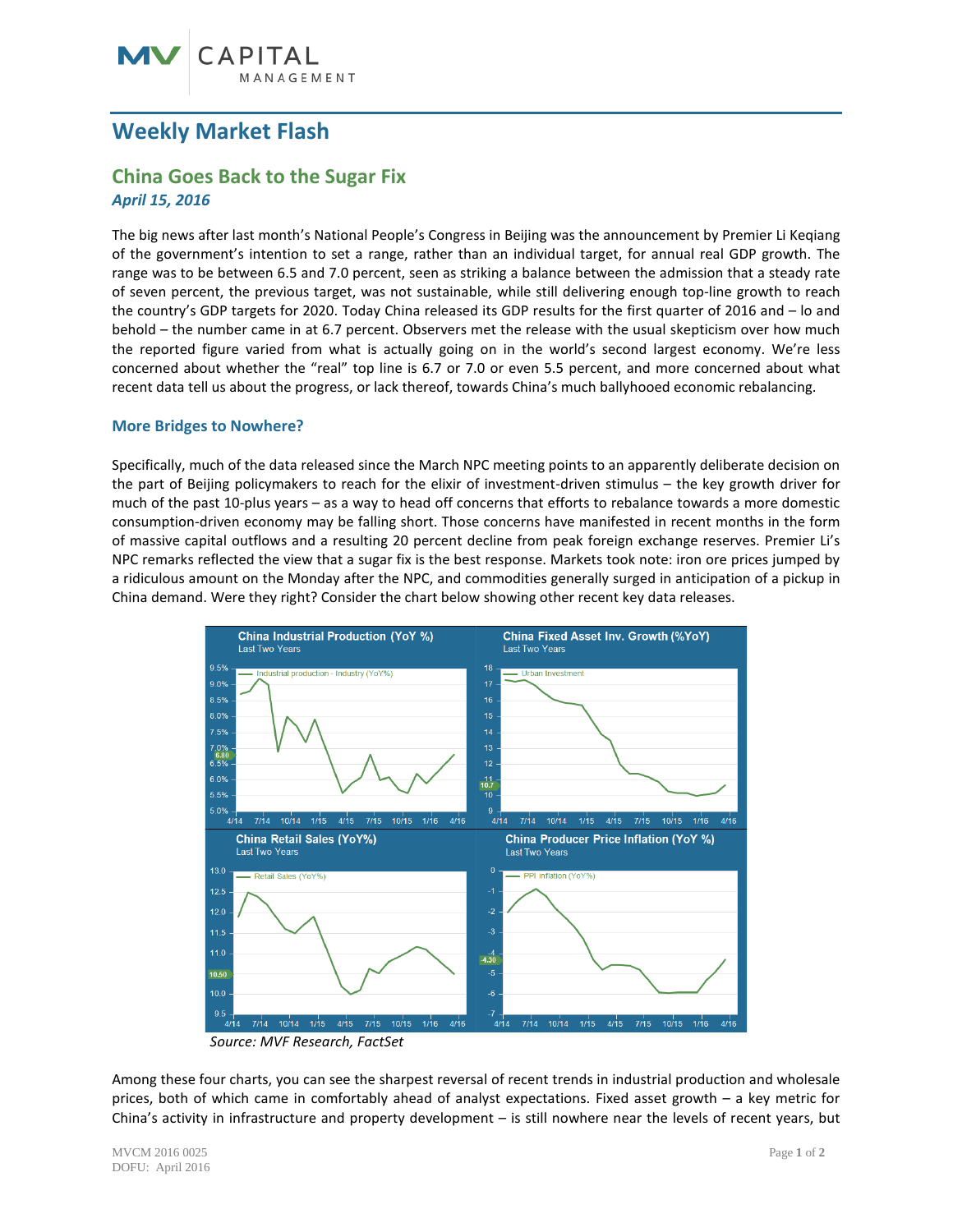# **Weekly Market Flash**

# **China Goes Back to the Sugar Fix** *April 15, 2016*

The big news after last month's National People's Congress in Beijing was the announcement by Premier Li Keqiang of the government's intention to set a range, rather than an individual target, for annual real GDP growth. The range was to be between 6.5 and 7.0 percent, seen as striking a balance between the admission that a steady rate of seven percent, the previous target, was not sustainable, while still delivering enough top-line growth to reach the country's GDP targets for 2020. Today China released its GDP results for the first quarter of 2016 and – lo and behold – the number came in at 6.7 percent. Observers met the release with the usual skepticism over how much the reported figure varied from what is actually going on in the world's second largest economy. We're less concerned about whether the "real" top line is 6.7 or 7.0 or even 5.5 percent, and more concerned about what recent data tell us about the progress, or lack thereof, towards China's much ballyhooed economic rebalancing.

## **More Bridges to Nowhere?**

Specifically, much of the data released since the March NPC meeting points to an apparently deliberate decision on the part of Beijing policymakers to reach for the elixir of investment-driven stimulus – the key growth driver for much of the past 10-plus years – as a way to head off concerns that efforts to rebalance towards a more domestic consumption-driven economy may be falling short. Those concerns have manifested in recent months in the form of massive capital outflows and a resulting 20 percent decline from peak foreign exchange reserves. Premier Li's NPC remarks reflected the view that a sugar fix is the best response. Markets took note: iron ore prices jumped by a ridiculous amount on the Monday after the NPC, and commodities generally surged in anticipation of a pickup in China demand. Were they right? Consider the chart below showing other recent key data releases.



*Source: MVF Research, FactSet*

Among these four charts, you can see the sharpest reversal of recent trends in industrial production and wholesale prices, both of which came in comfortably ahead of analyst expectations. Fixed asset growth – a key metric for China's activity in infrastructure and property development – is still nowhere near the levels of recent years, but